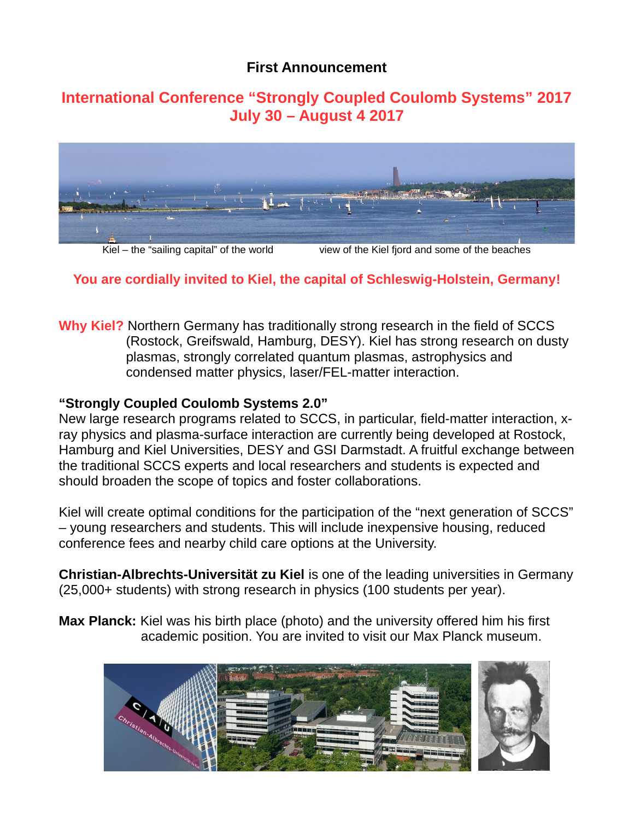## **First Announcement**

# **International Conference "Strongly Coupled Coulomb Systems" 2017 July 30 – August 4 2017**



Kiel – the "sailing capital" of the world view of the Kiel fjord and some of the beaches

## **You are cordially invited to Kiel, the capital of Schleswig-Holstein, Germany!**

**Why Kiel?** Northern Germany has traditionally strong research in the field of SCCS (Rostock, Greifswald, Hamburg, DESY). Kiel has strong research on dusty plasmas, strongly correlated quantum plasmas, astrophysics and condensed matter physics, laser/FEL-matter interaction.

#### **"Strongly Coupled Coulomb Systems 2.0"**

New large research programs related to SCCS, in particular, field-matter interaction, xray physics and plasma-surface interaction are currently being developed at Rostock, Hamburg and Kiel Universities, DESY and GSI Darmstadt. A fruitful exchange between the traditional SCCS experts and local researchers and students is expected and should broaden the scope of topics and foster collaborations.

Kiel will create optimal conditions for the participation of the "next generation of SCCS" – young researchers and students. This will include inexpensive housing, reduced conference fees and nearby child care options at the University.

**Christian-Albrechts-Universität zu Kiel** is one of the leading universities in Germany (25,000+ students) with strong research in physics (100 students per year).

**Max Planck:** Kiel was his birth place (photo) and the university offered him his first academic position. You are invited to visit our Max Planck museum.